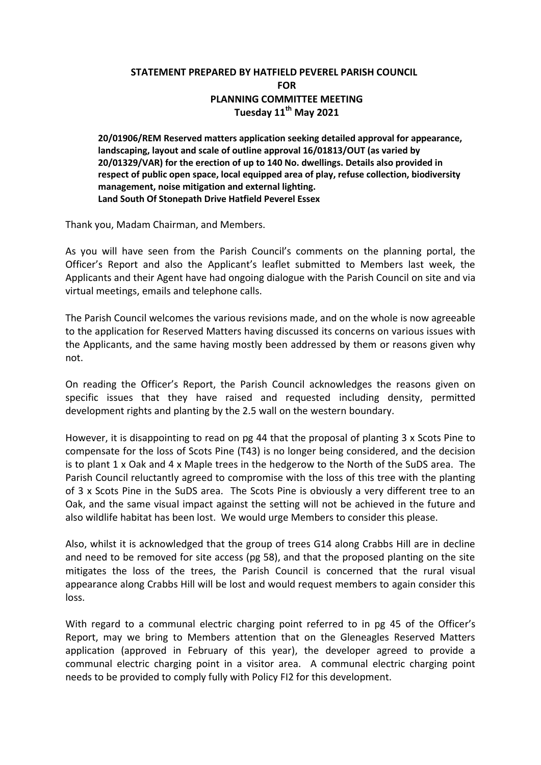## **STATEMENT PREPARED BY HATFIELD PEVEREL PARISH COUNCIL FOR PLANNING COMMITTEE MEETING Tuesday 11th May 2021**

**20/01906/REM Reserved matters application seeking detailed approval for appearance, landscaping, layout and scale of outline approval 16/01813/OUT (as varied by 20/01329/VAR) for the erection of up to 140 No. dwellings. Details also provided in respect of public open space, local equipped area of play, refuse collection, biodiversity management, noise mitigation and external lighting. Land South Of Stonepath Drive Hatfield Peverel Essex**

Thank you, Madam Chairman, and Members.

As you will have seen from the Parish Council's comments on the planning portal, the Officer's Report and also the Applicant's leaflet submitted to Members last week, the Applicants and their Agent have had ongoing dialogue with the Parish Council on site and via virtual meetings, emails and telephone calls.

The Parish Council welcomes the various revisions made, and on the whole is now agreeable to the application for Reserved Matters having discussed its concerns on various issues with the Applicants, and the same having mostly been addressed by them or reasons given why not.

On reading the Officer's Report, the Parish Council acknowledges the reasons given on specific issues that they have raised and requested including density, permitted development rights and planting by the 2.5 wall on the western boundary.

However, it is disappointing to read on pg 44 that the proposal of planting 3 x Scots Pine to compensate for the loss of Scots Pine (T43) is no longer being considered, and the decision is to plant 1 x Oak and 4 x Maple trees in the hedgerow to the North of the SuDS area. The Parish Council reluctantly agreed to compromise with the loss of this tree with the planting of 3 x Scots Pine in the SuDS area. The Scots Pine is obviously a very different tree to an Oak, and the same visual impact against the setting will not be achieved in the future and also wildlife habitat has been lost. We would urge Members to consider this please.

Also, whilst it is acknowledged that the group of trees G14 along Crabbs Hill are in decline and need to be removed for site access (pg 58), and that the proposed planting on the site mitigates the loss of the trees, the Parish Council is concerned that the rural visual appearance along Crabbs Hill will be lost and would request members to again consider this loss.

With regard to a communal electric charging point referred to in pg 45 of the Officer's Report, may we bring to Members attention that on the Gleneagles Reserved Matters application (approved in February of this year), the developer agreed to provide a communal electric charging point in a visitor area. A communal electric charging point needs to be provided to comply fully with Policy FI2 for this development.